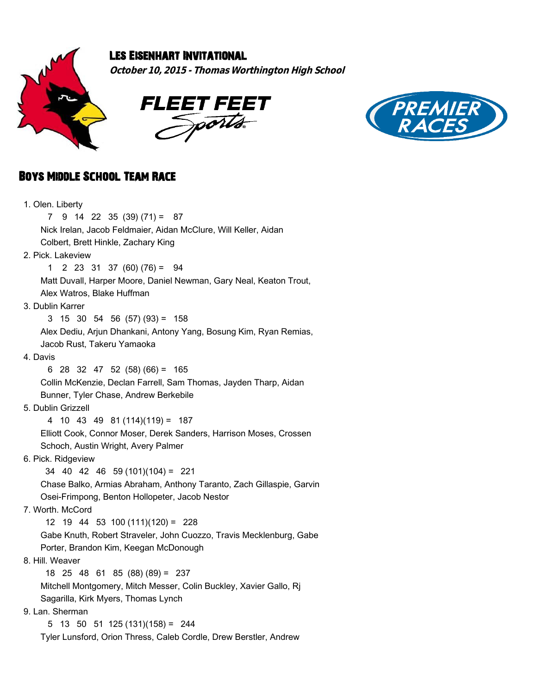





# Boys Middle School Team Race

| 1. Olen. Liberty                                                     |
|----------------------------------------------------------------------|
| $9$ 14 22 35 (39) (71) = 87<br>7                                     |
| Nick Irelan, Jacob Feldmaier, Aidan McClure, Will Keller, Aidan      |
| Colbert, Brett Hinkle, Zachary King                                  |
| 2. Pick. Lakeview                                                    |
| $2\ 23\ 31\ 37\ (60)\ (76) =$<br>1<br>- 94                           |
| Matt Duvall, Harper Moore, Daniel Newman, Gary Neal, Keaton Trout,   |
| Alex Watros, Blake Huffman                                           |
| 3. Dublin Karrer                                                     |
| $3\quad 15\quad 30\quad 54\quad 56\quad (57)\quad (93) = 158$        |
| Alex Dediu, Arjun Dhankani, Antony Yang, Bosung Kim, Ryan Remias,    |
| Jacob Rust, Takeru Yamaoka                                           |
| 4. Davis                                                             |
| 28 32 47 52 (58) (66) = 165<br>6                                     |
| Collin McKenzie, Declan Farrell, Sam Thomas, Jayden Tharp, Aidan     |
| Bunner, Tyler Chase, Andrew Berkebile                                |
| 5. Dublin Grizzell                                                   |
| 4 10 43 49 81 (114)(119) = 187                                       |
| Elliott Cook, Connor Moser, Derek Sanders, Harrison Moses, Crossen   |
| Schoch, Austin Wright, Avery Palmer                                  |
| 6. Pick. Ridgeview                                                   |
| $34$ 40 42 46 59 (101)(104) = 221                                    |
| Chase Balko, Armias Abraham, Anthony Taranto, Zach Gillaspie, Garvin |
| Osei-Frimpong, Benton Hollopeter, Jacob Nestor                       |
| 7. Worth. McCord                                                     |
| $12$ 19 44 53 100 (111)(120) = 228                                   |
| Gabe Knuth, Robert Straveler, John Cuozzo, Travis Mecklenburg, Gabe  |
| Porter, Brandon Kim, Keegan McDonough                                |
| 8. Hill. Weaver                                                      |
| 18 25 48 61 85 (88) (89) = 237                                       |
| Mitchell Montgomery, Mitch Messer, Colin Buckley, Xavier Gallo, Rj   |
| Sagarilla, Kirk Myers, Thomas Lynch                                  |
| 9. Lan. Sherman                                                      |
| $13 \quad 50 \quad 51 \quad 125 \quad (131)(158) = 244$<br>5         |
| Tyler Lunsford, Orion Thress, Caleb Cordle, Drew Berstler, Andrew    |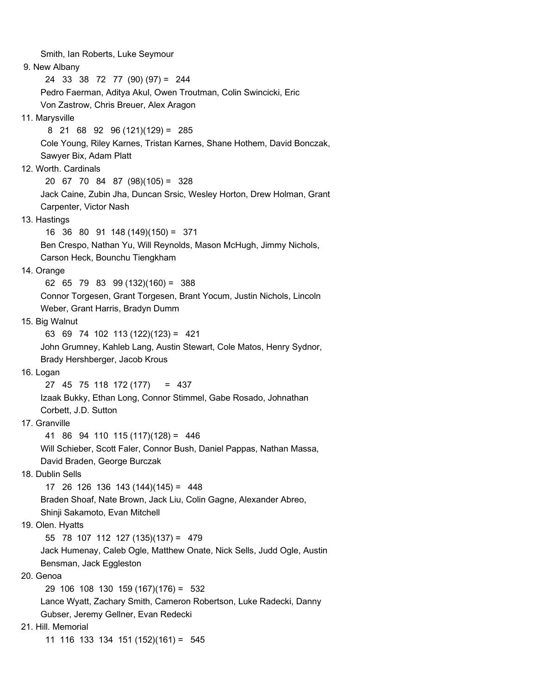Smith, Ian Roberts, Luke Seymour 9. New Albany 24 33 38 72 77 (90) (97) = 244 Pedro Faerman, Aditya Akul, Owen Troutman, Colin Swincicki, Eric Von Zastrow, Chris Breuer, Alex Aragon 11. Marysville 8 21 68 92 96 (121)(129) = 285 Cole Young, Riley Karnes, Tristan Karnes, Shane Hothem, David Bonczak, Sawyer Bix, Adam Platt 12. Worth. Cardinals 20 67 70 84 87 (98)(105) = 328 Jack Caine, Zubin Jha, Duncan Srsic, Wesley Horton, Drew Holman, Grant Carpenter, Victor Nash 13. Hastings 16 36 80 91 148 (149)(150) = 371 Ben Crespo, Nathan Yu, Will Reynolds, Mason McHugh, Jimmy Nichols, Carson Heck, Bounchu Tiengkham 14. Orange 62 65 79 83 99 (132)(160) = 388 Connor Torgesen, Grant Torgesen, Brant Yocum, Justin Nichols, Lincoln Weber, Grant Harris, Bradyn Dumm 15. Big Walnut 63 69 74 102 113 (122)(123) = 421 John Grumney, Kahleb Lang, Austin Stewart, Cole Matos, Henry Sydnor, Brady Hershberger, Jacob Krous 16. Logan 27 45 75 118 172 (177) = 437 Izaak Bukky, Ethan Long, Connor Stimmel, Gabe Rosado, Johnathan Corbett, J.D. Sutton 17. Granville 41 86 94 110 115 (117)(128) = 446 Will Schieber, Scott Faler, Connor Bush, Daniel Pappas, Nathan Massa, David Braden, George Burczak 18. Dublin Sells 17 26 126 136 143 (144)(145) = 448 Braden Shoaf, Nate Brown, Jack Liu, Colin Gagne, Alexander Abreo, Shinji Sakamoto, Evan Mitchell 19. Olen. Hyatts 55 78 107 112 127 (135)(137) = 479 Jack Humenay, Caleb Ogle, Matthew Onate, Nick Sells, Judd Ogle, Austin Bensman, Jack Eggleston 20. Genoa 29 106 108 130 159 (167)(176) = 532 Lance Wyatt, Zachary Smith, Cameron Robertson, Luke Radecki, Danny Gubser, Jeremy Gellner, Evan Redecki 21. Hill. Memorial 11 116 133 134 151 (152)(161) = 545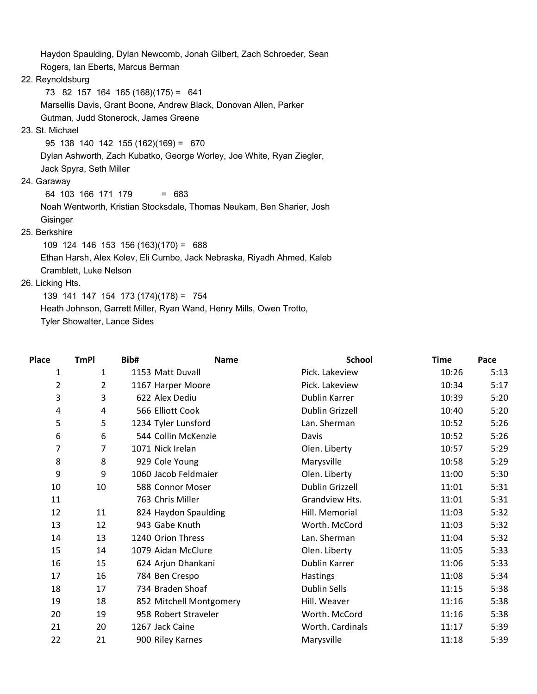Haydon Spaulding, Dylan Newcomb, Jonah Gilbert, Zach Schroeder, Sean Rogers, Ian Eberts, Marcus Berman 22. Reynoldsburg

73 82 157 164 165 (168)(175) = 641

Marsellis Davis, Grant Boone, Andrew Black, Donovan Allen, Parker

Gutman, Judd Stonerock, James Greene

## 23. St. Michael

95 138 140 142 155 (162)(169) = 670

Dylan Ashworth, Zach Kubatko, George Worley, Joe White, Ryan Ziegler,

Jack Spyra, Seth Miller

#### 24. Garaway

64 103 166 171 179 = 683

 Noah Wentworth, Kristian Stocksdale, Thomas Neukam, Ben Sharier, Josh **Gisinger** 

## 25. Berkshire

 109 124 146 153 156 (163)(170) = 688 Ethan Harsh, Alex Kolev, Eli Cumbo, Jack Nebraska, Riyadh Ahmed, Kaleb Cramblett, Luke Nelson

### 26. Licking Hts.

 139 141 147 154 173 (174)(178) = 754 Heath Johnson, Garrett Miller, Ryan Wand, Henry Mills, Owen Trotto, Tyler Showalter, Lance Sides

| Place                   | <b>TmPI</b> | Bib#                    | <b>School</b><br><b>Name</b> | <b>Time</b> | Pace |
|-------------------------|-------------|-------------------------|------------------------------|-------------|------|
| $\mathbf{1}$            | 1           | 1153 Matt Duvall        | Pick. Lakeview               | 10:26       | 5:13 |
| $\overline{\mathbf{c}}$ | 2           | 1167 Harper Moore       | Pick. Lakeview               | 10:34       | 5:17 |
| 3                       | 3           | 622 Alex Dediu          | Dublin Karrer                | 10:39       | 5:20 |
| 4                       | 4           | 566 Elliott Cook        | <b>Dublin Grizzell</b>       | 10:40       | 5:20 |
| 5                       | 5           | 1234 Tyler Lunsford     | Lan. Sherman                 | 10:52       | 5:26 |
| 6                       | 6           | 544 Collin McKenzie     | Davis                        | 10:52       | 5:26 |
| 7                       | 7           | 1071 Nick Irelan        | Olen. Liberty                | 10:57       | 5:29 |
| 8                       | 8           | 929 Cole Young          | Marysville                   | 10:58       | 5:29 |
| 9                       | 9           | 1060 Jacob Feldmaier    | Olen. Liberty                | 11:00       | 5:30 |
| 10                      | 10          | 588 Connor Moser        | Dublin Grizzell              | 11:01       | 5:31 |
| 11                      |             | 763 Chris Miller        | Grandview Hts.               | 11:01       | 5:31 |
| 12                      | 11          | 824 Haydon Spaulding    | Hill. Memorial               | 11:03       | 5:32 |
| 13                      | 12          | 943 Gabe Knuth          | Worth. McCord                | 11:03       | 5:32 |
| 14                      | 13          | 1240 Orion Thress       | Lan. Sherman                 | 11:04       | 5:32 |
| 15                      | 14          | 1079 Aidan McClure      | Olen. Liberty                | 11:05       | 5:33 |
| 16                      | 15          | 624 Arjun Dhankani      | Dublin Karrer                | 11:06       | 5:33 |
| 17                      | 16          | 784 Ben Crespo          | Hastings                     | 11:08       | 5:34 |
| 18                      | 17          | 734 Braden Shoaf        | <b>Dublin Sells</b>          | 11:15       | 5:38 |
| 19                      | 18          | 852 Mitchell Montgomery | Hill. Weaver                 | 11:16       | 5:38 |
| 20                      | 19          | 958 Robert Straveler    | Worth. McCord                | 11:16       | 5:38 |
| 21                      | 20          | 1267 Jack Caine         | Worth. Cardinals             | 11:17       | 5:39 |
| 22                      | 21          | 900 Riley Karnes        | Marysville                   | 11:18       | 5:39 |
|                         |             |                         |                              |             |      |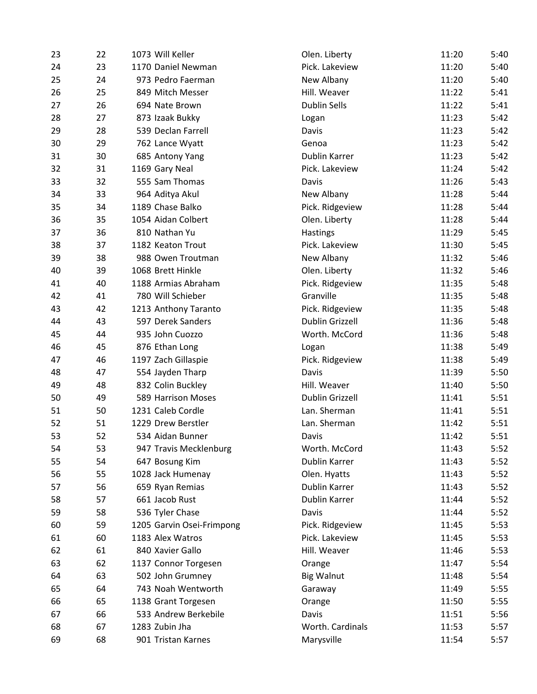| 23 | 22 | 1073 Will Keller          | Olen. Liberty     | 11:20 | 5:40 |
|----|----|---------------------------|-------------------|-------|------|
| 24 | 23 | 1170 Daniel Newman        | Pick. Lakeview    | 11:20 | 5:40 |
| 25 | 24 | 973 Pedro Faerman         | New Albany        | 11:20 | 5:40 |
| 26 | 25 | 849 Mitch Messer          | Hill. Weaver      | 11:22 | 5:41 |
| 27 | 26 | 694 Nate Brown            | Dublin Sells      | 11:22 | 5:41 |
| 28 | 27 | 873 Izaak Bukky           | Logan             | 11:23 | 5:42 |
| 29 | 28 | 539 Declan Farrell        | Davis             | 11:23 | 5:42 |
| 30 | 29 | 762 Lance Wyatt           | Genoa             | 11:23 | 5:42 |
| 31 | 30 | 685 Antony Yang           | Dublin Karrer     | 11:23 | 5:42 |
| 32 | 31 | 1169 Gary Neal            | Pick. Lakeview    | 11:24 | 5:42 |
| 33 | 32 | 555 Sam Thomas            | Davis             | 11:26 | 5:43 |
| 34 | 33 | 964 Aditya Akul           | New Albany        | 11:28 | 5:44 |
| 35 | 34 | 1189 Chase Balko          | Pick. Ridgeview   | 11:28 | 5:44 |
| 36 | 35 | 1054 Aidan Colbert        | Olen. Liberty     | 11:28 | 5:44 |
| 37 | 36 | 810 Nathan Yu             | Hastings          | 11:29 | 5:45 |
| 38 | 37 | 1182 Keaton Trout         | Pick. Lakeview    | 11:30 | 5:45 |
| 39 | 38 | 988 Owen Troutman         | New Albany        | 11:32 | 5:46 |
| 40 | 39 | 1068 Brett Hinkle         | Olen. Liberty     | 11:32 | 5:46 |
| 41 | 40 | 1188 Armias Abraham       | Pick. Ridgeview   | 11:35 | 5:48 |
| 42 | 41 | 780 Will Schieber         | Granville         | 11:35 | 5:48 |
| 43 | 42 | 1213 Anthony Taranto      | Pick. Ridgeview   | 11:35 | 5:48 |
| 44 | 43 | 597 Derek Sanders         | Dublin Grizzell   | 11:36 | 5:48 |
| 45 | 44 | 935 John Cuozzo           | Worth. McCord     | 11:36 | 5:48 |
| 46 | 45 | 876 Ethan Long            | Logan             | 11:38 | 5:49 |
| 47 | 46 | 1197 Zach Gillaspie       | Pick. Ridgeview   | 11:38 | 5:49 |
| 48 | 47 | 554 Jayden Tharp          | Davis             | 11:39 | 5:50 |
| 49 | 48 | 832 Colin Buckley         | Hill. Weaver      | 11:40 | 5:50 |
| 50 | 49 | 589 Harrison Moses        | Dublin Grizzell   | 11:41 | 5:51 |
| 51 | 50 | 1231 Caleb Cordle         | Lan. Sherman      | 11:41 | 5:51 |
| 52 | 51 | 1229 Drew Berstler        | Lan. Sherman      | 11:42 | 5:51 |
| 53 | 52 | 534 Aidan Bunner          | Davis             | 11:42 | 5:51 |
| 54 | 53 | 947 Travis Mecklenburg    | Worth. McCord     | 11:43 | 5:52 |
| 55 | 54 | 647 Bosung Kim            | Dublin Karrer     | 11:43 | 5:52 |
| 56 | 55 | 1028 Jack Humenay         | Olen. Hyatts      | 11:43 | 5:52 |
| 57 | 56 | 659 Ryan Remias           | Dublin Karrer     | 11:43 | 5:52 |
| 58 | 57 | 661 Jacob Rust            | Dublin Karrer     | 11:44 | 5:52 |
| 59 | 58 | 536 Tyler Chase           | Davis             | 11:44 | 5:52 |
| 60 | 59 | 1205 Garvin Osei-Frimpong | Pick. Ridgeview   | 11:45 | 5:53 |
| 61 | 60 | 1183 Alex Watros          | Pick. Lakeview    | 11:45 | 5:53 |
| 62 | 61 | 840 Xavier Gallo          | Hill. Weaver      | 11:46 | 5:53 |
| 63 | 62 | 1137 Connor Torgesen      | Orange            | 11:47 | 5:54 |
| 64 | 63 | 502 John Grumney          | <b>Big Walnut</b> | 11:48 | 5:54 |
| 65 | 64 | 743 Noah Wentworth        | Garaway           | 11:49 | 5:55 |
| 66 | 65 | 1138 Grant Torgesen       | Orange            | 11:50 | 5:55 |
| 67 | 66 | 533 Andrew Berkebile      | Davis             | 11:51 | 5:56 |
| 68 | 67 | 1283 Zubin Jha            | Worth. Cardinals  | 11:53 | 5:57 |
| 69 | 68 | 901 Tristan Karnes        | Marysville        | 11:54 | 5:57 |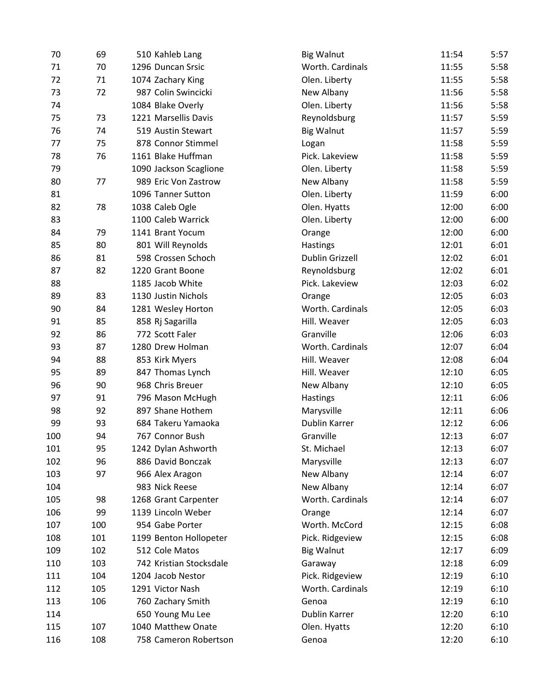| 70  | 69  | 510 Kahleb Lang         | <b>Big Walnut</b> | 11:54 | 5:57 |
|-----|-----|-------------------------|-------------------|-------|------|
| 71  | 70  | 1296 Duncan Srsic       | Worth. Cardinals  | 11:55 | 5:58 |
| 72  | 71  | 1074 Zachary King       | Olen. Liberty     | 11:55 | 5:58 |
| 73  | 72  | 987 Colin Swincicki     | New Albany        | 11:56 | 5:58 |
| 74  |     | 1084 Blake Overly       | Olen. Liberty     | 11:56 | 5:58 |
| 75  | 73  | 1221 Marsellis Davis    | Reynoldsburg      | 11:57 | 5:59 |
| 76  | 74  | 519 Austin Stewart      | <b>Big Walnut</b> | 11:57 | 5:59 |
| 77  | 75  | 878 Connor Stimmel      | Logan             | 11:58 | 5:59 |
| 78  | 76  | 1161 Blake Huffman      | Pick. Lakeview    | 11:58 | 5:59 |
| 79  |     | 1090 Jackson Scaglione  | Olen. Liberty     | 11:58 | 5:59 |
| 80  | 77  | 989 Eric Von Zastrow    | New Albany        | 11:58 | 5:59 |
| 81  |     | 1096 Tanner Sutton      | Olen. Liberty     | 11:59 | 6:00 |
| 82  | 78  | 1038 Caleb Ogle         | Olen. Hyatts      | 12:00 | 6:00 |
| 83  |     | 1100 Caleb Warrick      | Olen. Liberty     | 12:00 | 6:00 |
| 84  | 79  | 1141 Brant Yocum        | Orange            | 12:00 | 6:00 |
| 85  | 80  | 801 Will Reynolds       | <b>Hastings</b>   | 12:01 | 6:01 |
| 86  | 81  | 598 Crossen Schoch      | Dublin Grizzell   | 12:02 | 6:01 |
| 87  | 82  | 1220 Grant Boone        | Reynoldsburg      | 12:02 | 6:01 |
| 88  |     | 1185 Jacob White        | Pick. Lakeview    | 12:03 | 6:02 |
| 89  | 83  | 1130 Justin Nichols     | Orange            | 12:05 | 6:03 |
| 90  | 84  | 1281 Wesley Horton      | Worth. Cardinals  | 12:05 | 6:03 |
| 91  | 85  | 858 Rj Sagarilla        | Hill. Weaver      | 12:05 | 6:03 |
| 92  | 86  | 772 Scott Faler         | Granville         | 12:06 | 6:03 |
| 93  | 87  | 1280 Drew Holman        | Worth. Cardinals  | 12:07 | 6:04 |
| 94  | 88  | 853 Kirk Myers          | Hill. Weaver      | 12:08 | 6:04 |
| 95  | 89  | 847 Thomas Lynch        | Hill. Weaver      | 12:10 | 6:05 |
| 96  | 90  | 968 Chris Breuer        | New Albany        | 12:10 | 6:05 |
| 97  | 91  | 796 Mason McHugh        | Hastings          | 12:11 | 6:06 |
| 98  | 92  | 897 Shane Hothem        | Marysville        | 12:11 | 6:06 |
| 99  | 93  | 684 Takeru Yamaoka      | Dublin Karrer     | 12:12 | 6:06 |
| 100 | 94  | 767 Connor Bush         | Granville         | 12:13 | 6:07 |
| 101 | 95  | 1242 Dylan Ashworth     | St. Michael       | 12:13 | 6:07 |
| 102 | 96  | 886 David Bonczak       | Marysville        | 12:13 | 6:07 |
| 103 | 97  | 966 Alex Aragon         | New Albany        | 12:14 | 6:07 |
| 104 |     | 983 Nick Reese          | New Albany        | 12:14 | 6:07 |
| 105 | 98  | 1268 Grant Carpenter    | Worth. Cardinals  | 12:14 | 6:07 |
| 106 | 99  | 1139 Lincoln Weber      | Orange            | 12:14 | 6:07 |
| 107 | 100 | 954 Gabe Porter         | Worth. McCord     | 12:15 | 6:08 |
| 108 | 101 | 1199 Benton Hollopeter  | Pick. Ridgeview   | 12:15 | 6:08 |
| 109 | 102 | 512 Cole Matos          | <b>Big Walnut</b> | 12:17 | 6:09 |
| 110 | 103 | 742 Kristian Stocksdale | Garaway           | 12:18 | 6:09 |
| 111 | 104 | 1204 Jacob Nestor       | Pick. Ridgeview   | 12:19 | 6:10 |
| 112 | 105 | 1291 Victor Nash        | Worth. Cardinals  | 12:19 | 6:10 |
| 113 | 106 | 760 Zachary Smith       | Genoa             | 12:19 | 6:10 |
| 114 |     | 650 Young Mu Lee        | Dublin Karrer     | 12:20 | 6:10 |
| 115 | 107 | 1040 Matthew Onate      | Olen. Hyatts      | 12:20 | 6:10 |
| 116 | 108 | 758 Cameron Robertson   | Genoa             | 12:20 | 6:10 |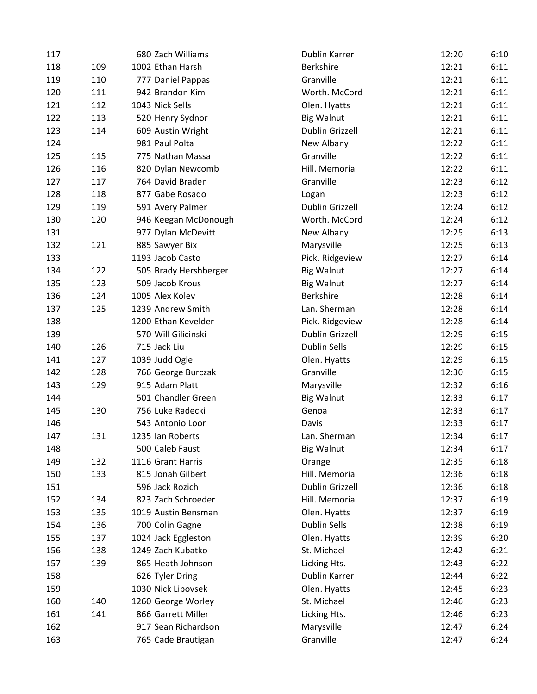| 117 |     | 680 Zach Williams     | <b>Dublin Karrer</b>   | 12:20 | 6:10 |
|-----|-----|-----------------------|------------------------|-------|------|
| 118 | 109 | 1002 Ethan Harsh      | <b>Berkshire</b>       | 12:21 | 6:11 |
| 119 | 110 | 777 Daniel Pappas     | Granville              | 12:21 | 6:11 |
| 120 | 111 | 942 Brandon Kim       | Worth. McCord          | 12:21 | 6:11 |
| 121 | 112 | 1043 Nick Sells       | Olen. Hyatts           | 12:21 | 6:11 |
| 122 | 113 | 520 Henry Sydnor      | <b>Big Walnut</b>      | 12:21 | 6:11 |
| 123 | 114 | 609 Austin Wright     | Dublin Grizzell        | 12:21 | 6:11 |
| 124 |     | 981 Paul Polta        | New Albany             | 12:22 | 6:11 |
| 125 | 115 | 775 Nathan Massa      | Granville              | 12:22 | 6:11 |
| 126 | 116 | 820 Dylan Newcomb     | Hill. Memorial         | 12:22 | 6:11 |
| 127 | 117 | 764 David Braden      | Granville              | 12:23 | 6:12 |
| 128 | 118 | 877 Gabe Rosado       | Logan                  | 12:23 | 6:12 |
| 129 | 119 | 591 Avery Palmer      | Dublin Grizzell        | 12:24 | 6:12 |
| 130 | 120 | 946 Keegan McDonough  | Worth. McCord          | 12:24 | 6:12 |
| 131 |     | 977 Dylan McDevitt    | New Albany             | 12:25 | 6:13 |
| 132 | 121 | 885 Sawyer Bix        | Marysville             | 12:25 | 6:13 |
| 133 |     | 1193 Jacob Casto      | Pick. Ridgeview        | 12:27 | 6:14 |
| 134 | 122 | 505 Brady Hershberger | <b>Big Walnut</b>      | 12:27 | 6:14 |
| 135 | 123 | 509 Jacob Krous       | <b>Big Walnut</b>      | 12:27 | 6:14 |
| 136 | 124 | 1005 Alex Kolev       | <b>Berkshire</b>       | 12:28 | 6:14 |
| 137 | 125 | 1239 Andrew Smith     | Lan. Sherman           | 12:28 | 6:14 |
| 138 |     | 1200 Ethan Kevelder   | Pick. Ridgeview        | 12:28 | 6:14 |
| 139 |     | 570 Will Gilicinski   | <b>Dublin Grizzell</b> | 12:29 | 6:15 |
| 140 | 126 | 715 Jack Liu          | Dublin Sells           | 12:29 | 6:15 |
| 141 | 127 | 1039 Judd Ogle        | Olen. Hyatts           | 12:29 | 6:15 |
| 142 | 128 | 766 George Burczak    | Granville              | 12:30 | 6:15 |
| 143 | 129 | 915 Adam Platt        | Marysville             | 12:32 | 6:16 |
| 144 |     | 501 Chandler Green    | <b>Big Walnut</b>      | 12:33 | 6:17 |
| 145 | 130 | 756 Luke Radecki      | Genoa                  | 12:33 | 6:17 |
| 146 |     | 543 Antonio Loor      | Davis                  | 12:33 | 6:17 |
| 147 | 131 | 1235 Ian Roberts      | Lan. Sherman           | 12:34 | 6:17 |
| 148 |     | 500 Caleb Faust       | <b>Big Walnut</b>      | 12:34 | 6:17 |
| 149 | 132 | 1116 Grant Harris     | Orange                 | 12:35 | 6:18 |
| 150 | 133 | 815 Jonah Gilbert     | Hill. Memorial         | 12:36 | 6:18 |
| 151 |     | 596 Jack Rozich       | <b>Dublin Grizzell</b> | 12:36 | 6:18 |
| 152 | 134 | 823 Zach Schroeder    | Hill. Memorial         | 12:37 | 6:19 |
| 153 | 135 | 1019 Austin Bensman   | Olen. Hyatts           | 12:37 | 6:19 |
| 154 | 136 | 700 Colin Gagne       | <b>Dublin Sells</b>    | 12:38 | 6:19 |
| 155 | 137 | 1024 Jack Eggleston   | Olen. Hyatts           | 12:39 | 6:20 |
| 156 | 138 | 1249 Zach Kubatko     | St. Michael            | 12:42 | 6:21 |
| 157 | 139 | 865 Heath Johnson     | Licking Hts.           | 12:43 | 6:22 |
| 158 |     | 626 Tyler Dring       | Dublin Karrer          | 12:44 | 6:22 |
| 159 |     | 1030 Nick Lipovsek    | Olen. Hyatts           | 12:45 | 6:23 |
| 160 | 140 | 1260 George Worley    | St. Michael            | 12:46 | 6:23 |
| 161 | 141 | 866 Garrett Miller    | Licking Hts.           | 12:46 | 6:23 |
| 162 |     | 917 Sean Richardson   | Marysville             | 12:47 | 6:24 |
| 163 |     | 765 Cade Brautigan    | Granville              | 12:47 | 6:24 |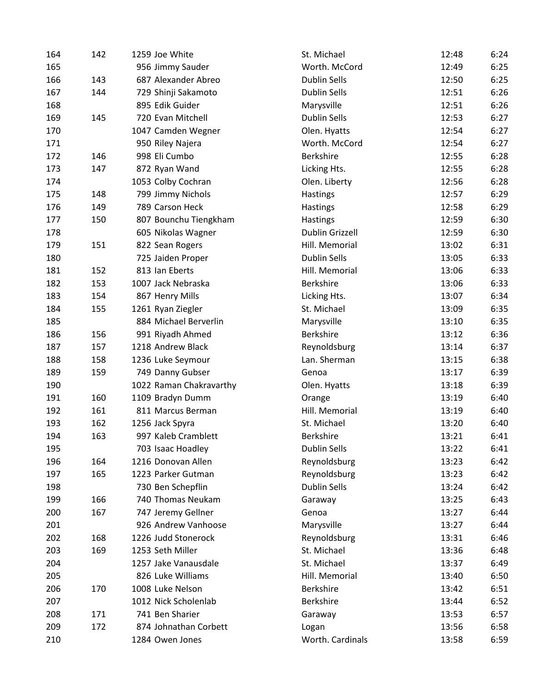| 164 | 142 | 1259 Joe White          | St. Michael         | 6:24<br>12:48 |
|-----|-----|-------------------------|---------------------|---------------|
| 165 |     | 956 Jimmy Sauder        | Worth. McCord       | 6:25<br>12:49 |
| 166 | 143 | 687 Alexander Abreo     | <b>Dublin Sells</b> | 12:50<br>6:25 |
| 167 | 144 | 729 Shinji Sakamoto     | <b>Dublin Sells</b> | 6:26<br>12:51 |
| 168 |     | 895 Edik Guider         | Marysville          | 12:51<br>6:26 |
| 169 | 145 | 720 Evan Mitchell       | <b>Dublin Sells</b> | 12:53<br>6:27 |
| 170 |     | 1047 Camden Wegner      | Olen. Hyatts        | 6:27<br>12:54 |
| 171 |     | 950 Riley Najera        | Worth. McCord       | 6:27<br>12:54 |
| 172 | 146 | 998 Eli Cumbo           | Berkshire           | 6:28<br>12:55 |
| 173 | 147 | 872 Ryan Wand           | Licking Hts.        | 12:55<br>6:28 |
| 174 |     | 1053 Colby Cochran      | Olen. Liberty       | 6:28<br>12:56 |
| 175 | 148 | 799 Jimmy Nichols       | <b>Hastings</b>     | 6:29<br>12:57 |
| 176 | 149 | 789 Carson Heck         | <b>Hastings</b>     | 12:58<br>6:29 |
| 177 | 150 | 807 Bounchu Tiengkham   | <b>Hastings</b>     | 6:30<br>12:59 |
| 178 |     | 605 Nikolas Wagner      | Dublin Grizzell     | 12:59<br>6:30 |
| 179 | 151 | 822 Sean Rogers         | Hill. Memorial      | 6:31<br>13:02 |
| 180 |     | 725 Jaiden Proper       | <b>Dublin Sells</b> | 6:33<br>13:05 |
| 181 | 152 | 813 Ian Eberts          | Hill. Memorial      | 13:06<br>6:33 |
| 182 | 153 | 1007 Jack Nebraska      | Berkshire           | 6:33<br>13:06 |
| 183 | 154 | 867 Henry Mills         | Licking Hts.        | 6:34<br>13:07 |
| 184 | 155 | 1261 Ryan Ziegler       | St. Michael         | 13:09<br>6:35 |
| 185 |     | 884 Michael Berverlin   | Marysville          | 13:10<br>6:35 |
| 186 | 156 | 991 Riyadh Ahmed        | <b>Berkshire</b>    | 6:36<br>13:12 |
| 187 | 157 | 1218 Andrew Black       | Reynoldsburg        | 6:37<br>13:14 |
| 188 | 158 | 1236 Luke Seymour       | Lan. Sherman        | 13:15<br>6:38 |
| 189 | 159 | 749 Danny Gubser        | Genoa               | 6:39<br>13:17 |
| 190 |     | 1022 Raman Chakravarthy | Olen. Hyatts        | 13:18<br>6:39 |
| 191 | 160 | 1109 Bradyn Dumm        | Orange              | 13:19<br>6:40 |
| 192 | 161 | 811 Marcus Berman       | Hill. Memorial      | 13:19<br>6:40 |
| 193 | 162 | 1256 Jack Spyra         | St. Michael         | 13:20<br>6:40 |
| 194 | 163 | 997 Kaleb Cramblett     | <b>Berkshire</b>    | 13:21<br>6:41 |
| 195 |     | 703 Isaac Hoadley       | <b>Dublin Sells</b> | 13:22<br>6:41 |
| 196 | 164 | 1216 Donovan Allen      | Reynoldsburg        | 13:23<br>6:42 |
| 197 | 165 | 1223 Parker Gutman      | Reynoldsburg        | 13:23<br>6:42 |
| 198 |     | 730 Ben Schepflin       | <b>Dublin Sells</b> | 13:24<br>6:42 |
| 199 | 166 | 740 Thomas Neukam       | Garaway             | 13:25<br>6:43 |
| 200 | 167 | 747 Jeremy Gellner      | Genoa               | 13:27<br>6:44 |
| 201 |     | 926 Andrew Vanhoose     | Marysville          | 13:27<br>6:44 |
| 202 | 168 | 1226 Judd Stonerock     | Reynoldsburg        | 13:31<br>6:46 |
| 203 | 169 | 1253 Seth Miller        | St. Michael         | 13:36<br>6:48 |
| 204 |     | 1257 Jake Vanausdale    | St. Michael         | 13:37<br>6:49 |
| 205 |     | 826 Luke Williams       | Hill. Memorial      | 13:40<br>6:50 |
| 206 | 170 | 1008 Luke Nelson        | Berkshire           | 13:42<br>6:51 |
| 207 |     | 1012 Nick Scholenlab    | Berkshire           | 13:44<br>6:52 |
| 208 | 171 | 741 Ben Sharier         | Garaway             | 13:53<br>6:57 |
| 209 | 172 | 874 Johnathan Corbett   | Logan               | 13:56<br>6:58 |
| 210 |     | 1284 Owen Jones         | Worth. Cardinals    | 6:59<br>13:58 |